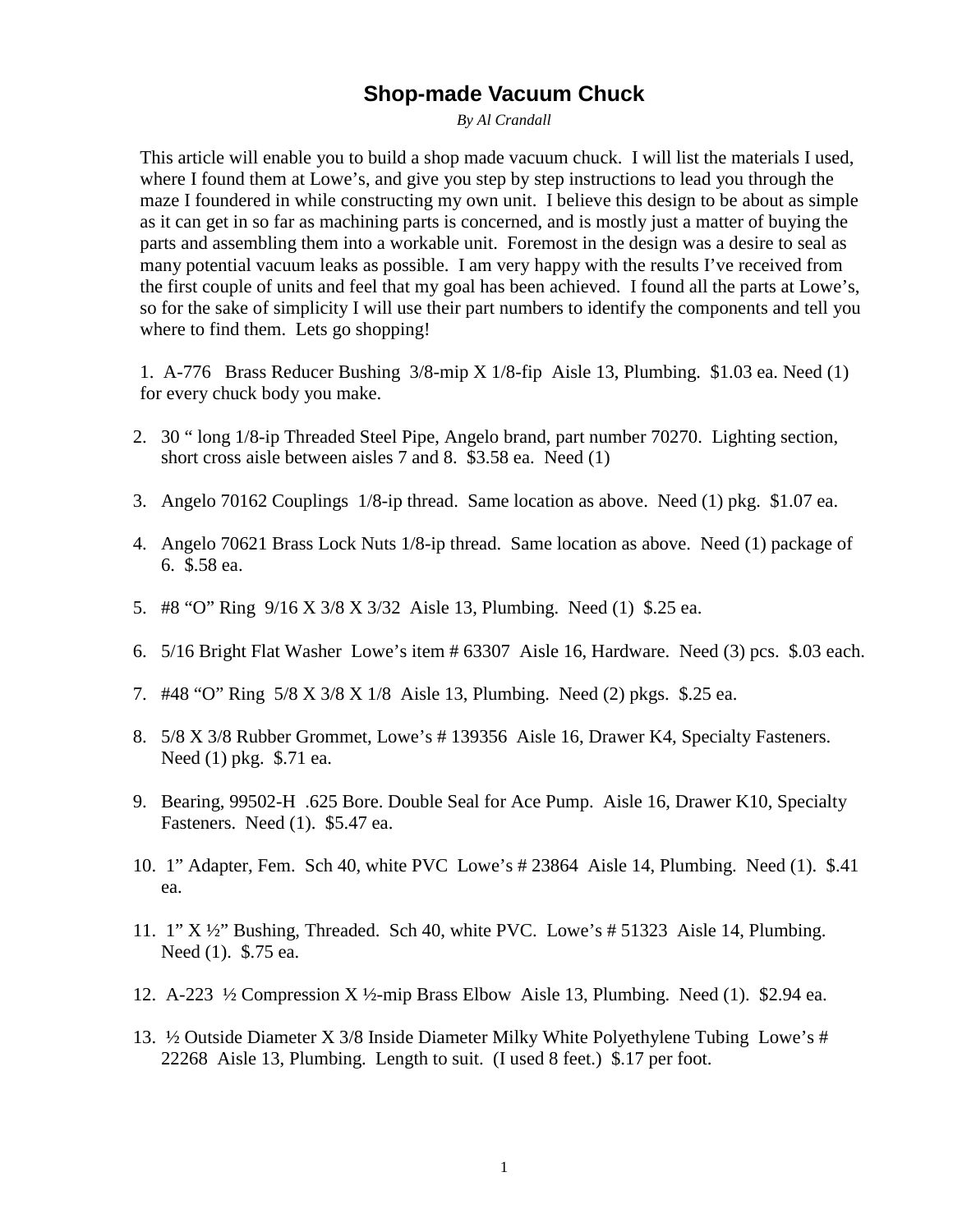## **Shop-made Vacuum Chuck**

*By Al Crandall*

This article will enable you to build a shop made vacuum chuck. I will list the materials I used, where I found them at Lowe's, and give you step by step instructions to lead you through the maze I foundered in while constructing my own unit. I believe this design to be about as simple as it can get in so far as machining parts is concerned, and is mostly just a matter of buying the parts and assembling them into a workable unit. Foremost in the design was a desire to seal as many potential vacuum leaks as possible. I am very happy with the results I've received from the first couple of units and feel that my goal has been achieved. I found all the parts at Lowe's, so for the sake of simplicity I will use their part numbers to identify the components and tell you where to find them. Lets go shopping!

1. A-776 Brass Reducer Bushing 3/8-mip X 1/8-fip Aisle 13, Plumbing. \$1.03 ea. Need (1) for every chuck body you make.

- 2. 30 " long 1/8-ip Threaded Steel Pipe, Angelo brand, part number 70270. Lighting section, short cross aisle between aisles 7 and 8. \$3.58 ea. Need (1)
- 3. Angelo 70162 Couplings 1/8-ip thread. Same location as above. Need (1) pkg. \$1.07 ea.
- 4. Angelo 70621 Brass Lock Nuts 1/8-ip thread. Same location as above. Need (1) package of 6. \$.58 ea.
- 5. #8 "O" Ring 9/16 X 3/8 X 3/32 Aisle 13, Plumbing. Need (1) \$.25 ea.
- 6. 5/16 Bright Flat Washer Lowe's item # 63307 Aisle 16, Hardware. Need (3) pcs. \$.03 each.
- 7. #48 "O" Ring 5/8 X 3/8 X 1/8 Aisle 13, Plumbing. Need (2) pkgs. \$.25 ea.
- 8. 5/8 X 3/8 Rubber Grommet, Lowe's # 139356 Aisle 16, Drawer K4, Specialty Fasteners. Need (1) pkg. \$.71 ea.
- 9. Bearing, 99502-H .625 Bore. Double Seal for Ace Pump. Aisle 16, Drawer K10, Specialty Fasteners. Need (1). \$5.47 ea.
- 10. 1" Adapter, Fem. Sch 40, white PVC Lowe's # 23864 Aisle 14, Plumbing. Need (1). \$.41 ea.
- 11. 1" X ½" Bushing, Threaded. Sch 40, white PVC. Lowe's # 51323 Aisle 14, Plumbing. Need (1). \$.75 ea.
- 12. A-223 ½ Compression X ½-mip Brass Elbow Aisle 13, Plumbing. Need (1). \$2.94 ea.
- 13. ½ Outside Diameter X 3/8 Inside Diameter Milky White Polyethylene Tubing Lowe's # 22268 Aisle 13, Plumbing. Length to suit. (I used 8 feet.) \$.17 per foot.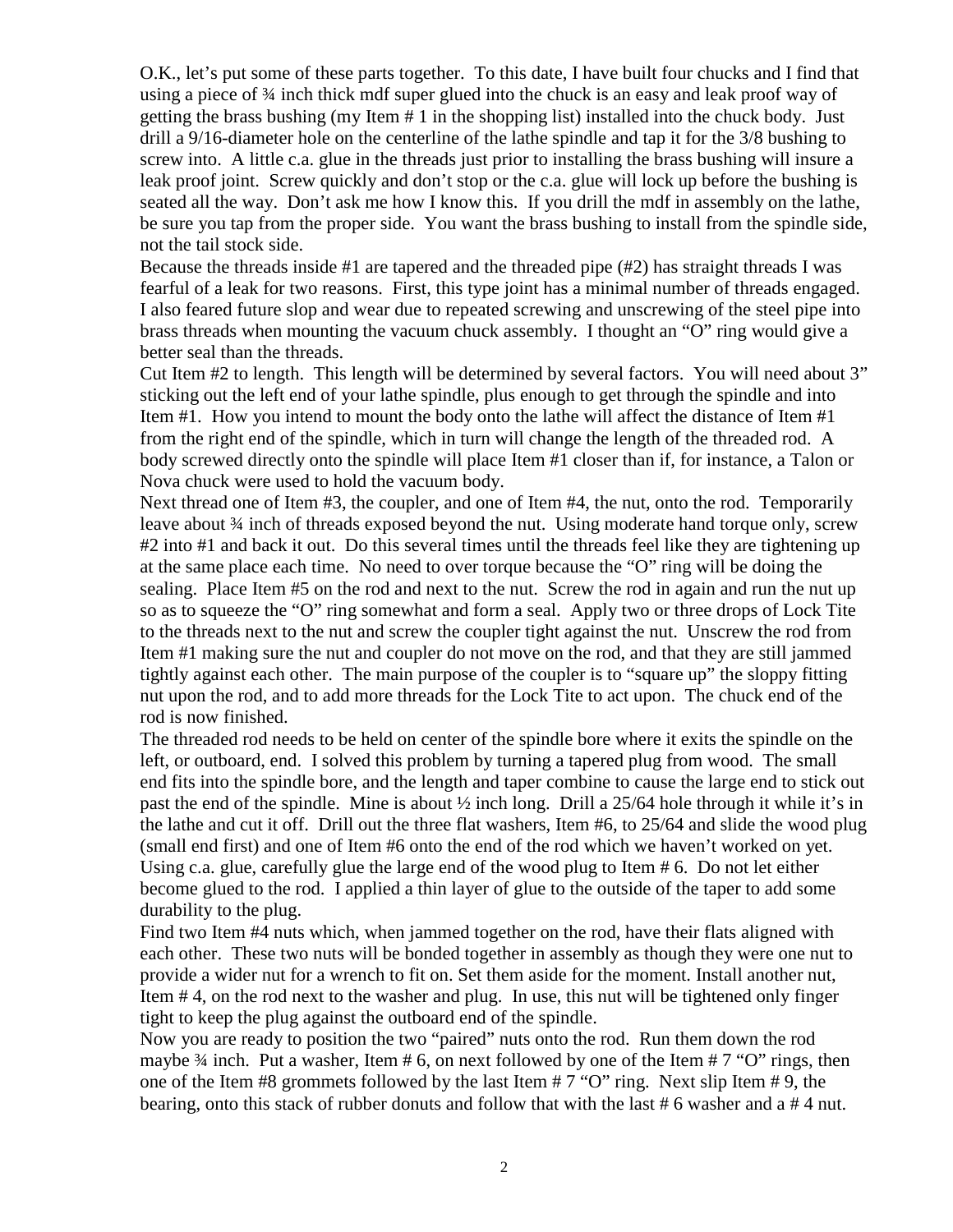O.K., let's put some of these parts together. To this date, I have built four chucks and I find that using a piece of  $\frac{3}{4}$  inch thick mdf super glued into the chuck is an easy and leak proof way of getting the brass bushing (my Item # 1 in the shopping list) installed into the chuck body. Just drill a 9/16-diameter hole on the centerline of the lathe spindle and tap it for the 3/8 bushing to screw into. A little c.a. glue in the threads just prior to installing the brass bushing will insure a leak proof joint. Screw quickly and don't stop or the c.a. glue will lock up before the bushing is seated all the way. Don't ask me how I know this. If you drill the mdf in assembly on the lathe, be sure you tap from the proper side. You want the brass bushing to install from the spindle side, not the tail stock side.

Because the threads inside #1 are tapered and the threaded pipe (#2) has straight threads I was fearful of a leak for two reasons. First, this type joint has a minimal number of threads engaged. I also feared future slop and wear due to repeated screwing and unscrewing of the steel pipe into brass threads when mounting the vacuum chuck assembly. I thought an "O" ring would give a better seal than the threads.

Cut Item #2 to length. This length will be determined by several factors. You will need about 3" sticking out the left end of your lathe spindle, plus enough to get through the spindle and into Item #1. How you intend to mount the body onto the lathe will affect the distance of Item #1 from the right end of the spindle, which in turn will change the length of the threaded rod. A body screwed directly onto the spindle will place Item #1 closer than if, for instance, a Talon or Nova chuck were used to hold the vacuum body.

Next thread one of Item #3, the coupler, and one of Item #4, the nut, onto the rod. Temporarily leave about ¾ inch of threads exposed beyond the nut. Using moderate hand torque only, screw #2 into #1 and back it out. Do this several times until the threads feel like they are tightening up at the same place each time. No need to over torque because the "O" ring will be doing the sealing. Place Item #5 on the rod and next to the nut. Screw the rod in again and run the nut up so as to squeeze the "O" ring somewhat and form a seal. Apply two or three drops of Lock Tite to the threads next to the nut and screw the coupler tight against the nut. Unscrew the rod from Item #1 making sure the nut and coupler do not move on the rod, and that they are still jammed tightly against each other. The main purpose of the coupler is to "square up" the sloppy fitting nut upon the rod, and to add more threads for the Lock Tite to act upon. The chuck end of the rod is now finished.

The threaded rod needs to be held on center of the spindle bore where it exits the spindle on the left, or outboard, end. I solved this problem by turning a tapered plug from wood. The small end fits into the spindle bore, and the length and taper combine to cause the large end to stick out past the end of the spindle. Mine is about  $\frac{1}{2}$  inch long. Drill a 25/64 hole through it while it's in the lathe and cut it off. Drill out the three flat washers, Item #6, to 25/64 and slide the wood plug (small end first) and one of Item #6 onto the end of the rod which we haven't worked on yet. Using c.a. glue, carefully glue the large end of the wood plug to Item # 6. Do not let either become glued to the rod. I applied a thin layer of glue to the outside of the taper to add some durability to the plug.

Find two Item #4 nuts which, when jammed together on the rod, have their flats aligned with each other. These two nuts will be bonded together in assembly as though they were one nut to provide a wider nut for a wrench to fit on. Set them aside for the moment. Install another nut, Item # 4, on the rod next to the washer and plug. In use, this nut will be tightened only finger tight to keep the plug against the outboard end of the spindle.

Now you are ready to position the two "paired" nuts onto the rod. Run them down the rod maybe  $\frac{3}{4}$  inch. Put a washer, Item # 6, on next followed by one of the Item # 7 "O" rings, then one of the Item #8 grommets followed by the last Item # 7 "O" ring. Next slip Item # 9, the bearing, onto this stack of rubber donuts and follow that with the last # 6 washer and a # 4 nut.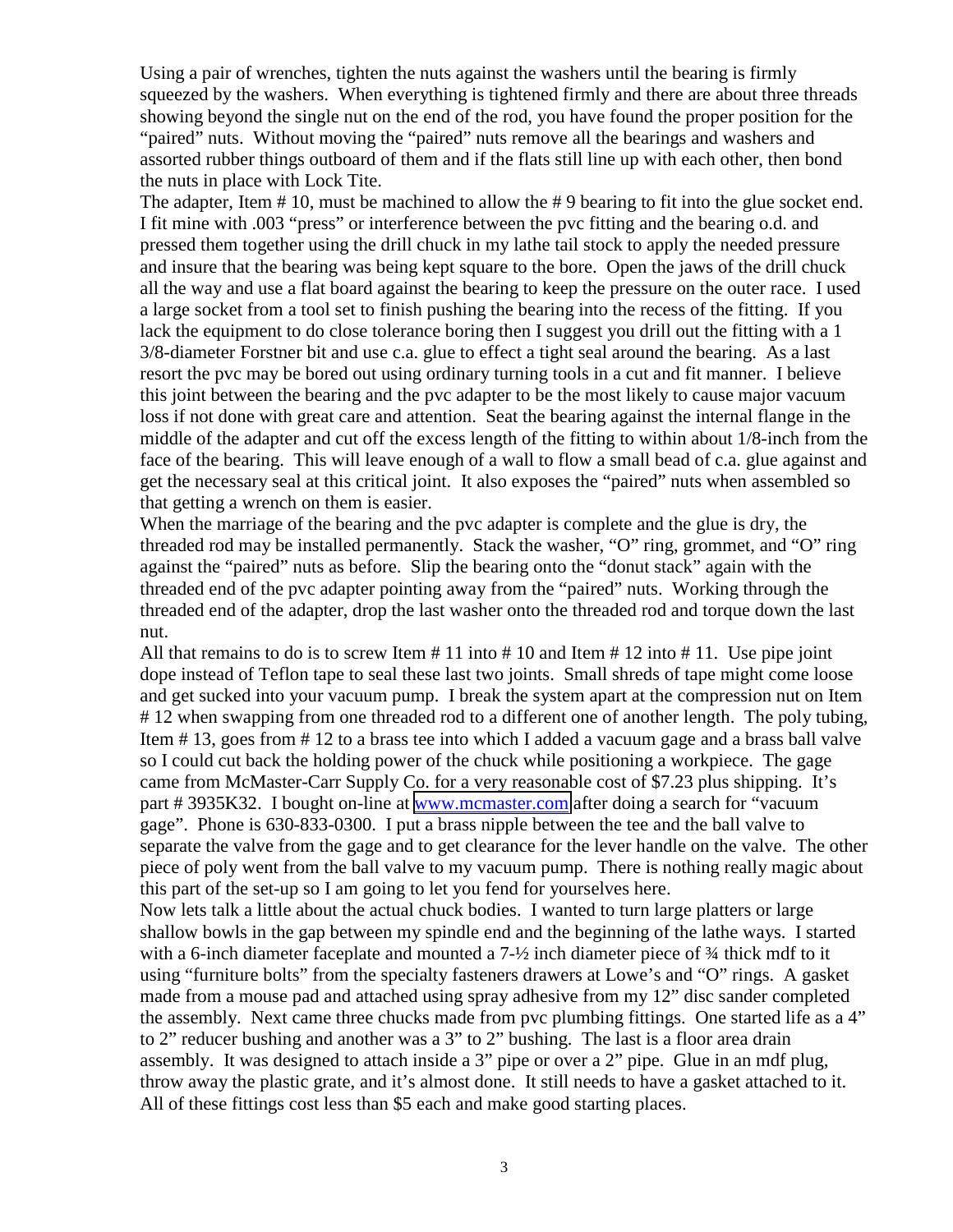Using a pair of wrenches, tighten the nuts against the washers until the bearing is firmly squeezed by the washers. When everything is tightened firmly and there are about three threads showing beyond the single nut on the end of the rod, you have found the proper position for the "paired" nuts. Without moving the "paired" nuts remove all the bearings and washers and assorted rubber things outboard of them and if the flats still line up with each other, then bond the nuts in place with Lock Tite.

The adapter, Item # 10, must be machined to allow the # 9 bearing to fit into the glue socket end. I fit mine with .003 "press" or interference between the pvc fitting and the bearing o.d. and pressed them together using the drill chuck in my lathe tail stock to apply the needed pressure and insure that the bearing was being kept square to the bore. Open the jaws of the drill chuck all the way and use a flat board against the bearing to keep the pressure on the outer race. I used a large socket from a tool set to finish pushing the bearing into the recess of the fitting. If you lack the equipment to do close tolerance boring then I suggest you drill out the fitting with a 1 3/8-diameter Forstner bit and use c.a. glue to effect a tight seal around the bearing. As a last resort the pvc may be bored out using ordinary turning tools in a cut and fit manner. I believe this joint between the bearing and the pvc adapter to be the most likely to cause major vacuum loss if not done with great care and attention. Seat the bearing against the internal flange in the middle of the adapter and cut off the excess length of the fitting to within about 1/8-inch from the face of the bearing. This will leave enough of a wall to flow a small bead of c.a. glue against and get the necessary seal at this critical joint. It also exposes the "paired" nuts when assembled so that getting a wrench on them is easier.

When the marriage of the bearing and the pvc adapter is complete and the glue is dry, the threaded rod may be installed permanently. Stack the washer, "O" ring, grommet, and "O" ring against the "paired" nuts as before. Slip the bearing onto the "donut stack" again with the threaded end of the pvc adapter pointing away from the "paired" nuts. Working through the threaded end of the adapter, drop the last washer onto the threaded rod and torque down the last nut.

All that remains to do is to screw Item  $\# 11$  into  $\# 10$  and Item  $\# 12$  into  $\# 11$ . Use pipe joint dope instead of Teflon tape to seal these last two joints. Small shreds of tape might come loose and get sucked into your vacuum pump. I break the system apart at the compression nut on Item # 12 when swapping from one threaded rod to a different one of another length. The poly tubing, Item # 13, goes from # 12 to a brass tee into which I added a vacuum gage and a brass ball valve so I could cut back the holding power of the chuck while positioning a workpiece. The gage came from McMaster-Carr Supply Co. for a very reasonable cost of \$7.23 plus shipping. It's part # 3935K32. I bought on-line at [www.mcmaster.com](http://www.mcmaster.com/) after doing a search for "vacuum gage". Phone is 630-833-0300. I put a brass nipple between the tee and the ball valve to separate the valve from the gage and to get clearance for the lever handle on the valve. The other piece of poly went from the ball valve to my vacuum pump. There is nothing really magic about this part of the set-up so I am going to let you fend for yourselves here.

Now lets talk a little about the actual chuck bodies. I wanted to turn large platters or large shallow bowls in the gap between my spindle end and the beginning of the lathe ways. I started with a 6-inch diameter faceplate and mounted a 7- $\frac{1}{2}$  inch diameter piece of  $\frac{3}{4}$  thick mdf to it using "furniture bolts" from the specialty fasteners drawers at Lowe's and "O" rings. A gasket made from a mouse pad and attached using spray adhesive from my 12" disc sander completed the assembly. Next came three chucks made from pvc plumbing fittings. One started life as a 4" to 2" reducer bushing and another was a 3" to 2" bushing. The last is a floor area drain assembly. It was designed to attach inside a 3" pipe or over a 2" pipe. Glue in an mdf plug, throw away the plastic grate, and it's almost done. It still needs to have a gasket attached to it. All of these fittings cost less than \$5 each and make good starting places.